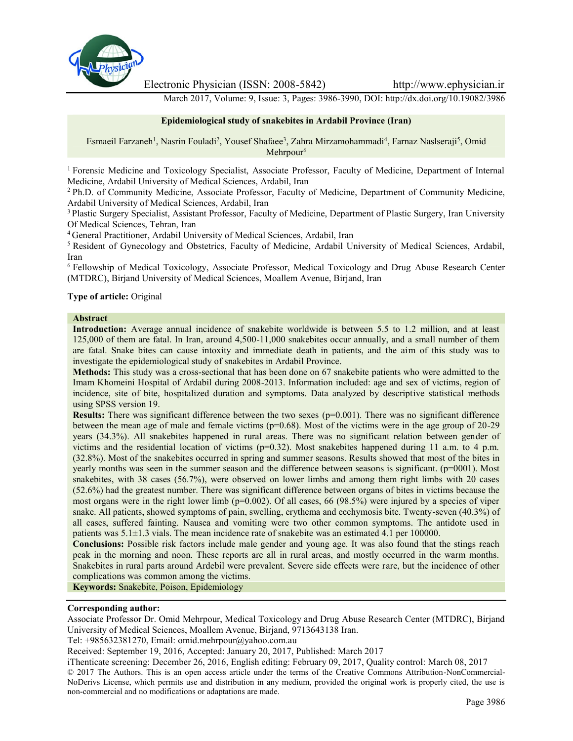

Electronic Physician (ISSN: 2008-5842) http://www.ephysician.ir

March 2017, Volume: 9, Issue: 3, Pages: 3986-3990, DOI: http://dx.doi.org/10.19082/3986

#### **Epidemiological study of snakebites in Ardabil Province (Iran)**

Esmaeil Farzaneh<sup>1</sup>, Nasrin Fouladi<sup>2</sup>, Yousef Shafaee<sup>3</sup>, Zahra Mirzamohammadi<sup>4</sup>, Farnaz Naslseraji<sup>5</sup>, Omid Mehrpour<sup>6</sup>

<sup>1</sup> Forensic Medicine and Toxicology Specialist, Associate Professor, Faculty of Medicine, Department of Internal Medicine, Ardabil University of Medical Sciences, Ardabil, Iran

<sup>2</sup> Ph.D. of Community Medicine, Associate Professor, Faculty of Medicine, Department of Community Medicine, Ardabil University of Medical Sciences, Ardabil, Iran

<sup>3</sup> Plastic Surgery Specialist, Assistant Professor, Faculty of Medicine, Department of Plastic Surgery, Iran University Of Medical Sciences, Tehran, Iran

<sup>4</sup> General Practitioner, Ardabil University of Medical Sciences, Ardabil, Iran

<sup>5</sup> Resident of Gynecology and Obstetrics, Faculty of Medicine, Ardabil University of Medical Sciences, Ardabil, Iran

<sup>6</sup> Fellowship of Medical Toxicology, Associate Professor, Medical Toxicology and Drug Abuse Research Center (MTDRC), Birjand University of Medical Sciences, Moallem Avenue, Birjand, Iran

#### **Type of article:** Original

#### **Abstract**

**Introduction:** Average annual incidence of snakebite worldwide is between 5.5 to 1.2 million, and at least 125,000 of them are fatal. In Iran, around 4,500-11,000 snakebites occur annually, and a small number of them are fatal. Snake bites can cause intoxity and immediate death in patients, and the aim of this study was to investigate the epidemiological study of snakebites in Ardabil Province.

**Methods:** This study was a cross-sectional that has been done on 67 snakebite patients who were admitted to the Imam Khomeini Hospital of Ardabil during 2008-2013. Information included: age and sex of victims, region of incidence, site of bite, hospitalized duration and symptoms. Data analyzed by descriptive statistical methods using SPSS version 19.

**Results:** There was significant difference between the two sexes (p=0.001). There was no significant difference between the mean age of male and female victims ( $p=0.68$ ). Most of the victims were in the age group of 20-29 years (34.3%). All snakebites happened in rural areas. There was no significant relation between gender of victims and the residential location of victims ( $p=0.32$ ). Most snakebites happened during 11 a.m. to 4 p.m. (32.8%). Most of the snakebites occurred in spring and summer seasons. Results showed that most of the bites in yearly months was seen in the summer season and the difference between seasons is significant. (p=0001). Most snakebites, with 38 cases (56.7%), were observed on lower limbs and among them right limbs with 20 cases (52.6%) had the greatest number. There was significant difference between organs of bites in victims because the most organs were in the right lower limb ( $p=0.002$ ). Of all cases, 66 (98.5%) were injured by a species of viper snake. All patients, showed symptoms of pain, swelling, erythema and ecchymosis bite. Twenty-seven (40.3%) of all cases, suffered fainting. Nausea and vomiting were two other common symptoms. The antidote used in patients was 5.1±1.3 vials. The mean incidence rate of snakebite was an estimated 4.1 per 100000.

**Conclusions:** Possible risk factors include male gender and young age. It was also found that the stings reach peak in the morning and noon. These reports are all in rural areas, and mostly occurred in the warm months. Snakebites in rural parts around Ardebil were prevalent. Severe side effects were rare, but the incidence of other complications was common among the victims.

**Keywords:** Snakebite, Poison, Epidemiology

#### **Corresponding author:**

Associate Professor Dr. Omid Mehrpour, Medical Toxicology and Drug Abuse Research Center (MTDRC), Birjand University of Medical Sciences, Moallem Avenue, Birjand, 9713643138 Iran.

Tel: +985632381270, Email: omid.mehrpour@yahoo.com.au

Received: September 19, 2016, Accepted: January 20, 2017, Published: March 2017

iThenticate screening: December 26, 2016, English editing: February 09, 2017, Quality control: March 08, 2017 © 2017 The Authors. This is an open access article under the terms of the Creative Commons Attribution-NonCommercial- NoDerivs License, which permits use and distribution in any medium, provided the original work is properly cited, the use is non-commercial and no modifications or adaptations are made.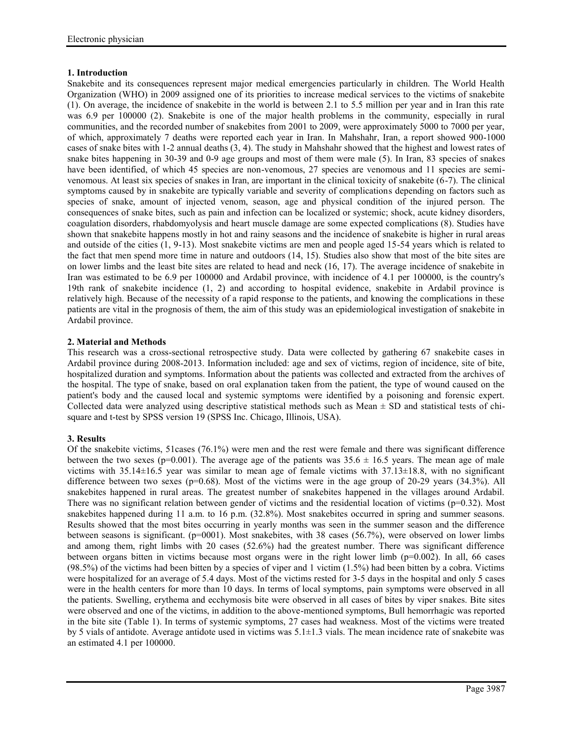# **1. Introduction**

Snakebite and its consequences represent major medical emergencies particularly in children. The World Health Organization (WHO) in 2009 assigned one of its priorities to increase medical services to the victims of snakebite (1). On average, the incidence of snakebite in the world is between 2.1 to 5.5 million per year and in Iran this rate was 6.9 per 100000 (2). Snakebite is one of the major health problems in the community, especially in rural communities, and the recorded number of snakebites from 2001 to 2009, were approximately 5000 to 7000 per year, of which, approximately 7 deaths were reported each year in Iran. In Mahshahr, Iran, a report showed 900-1000 cases of snake bites with 1-2 annual deaths (3, 4). The study in Mahshahr showed that the highest and lowest rates of snake bites happening in 30-39 and 0-9 age groups and most of them were male (5). In Iran, 83 species of snakes have been identified, of which 45 species are non-venomous, 27 species are venomous and 11 species are semivenomous. At least six species of snakes in Iran, are important in the clinical toxicity of snakebite (6-7). The clinical symptoms caused by in snakebite are typically variable and severity of complications depending on factors such as species of snake, amount of injected venom, season, age and physical condition of the injured person. The consequences of snake bites, such as pain and infection can be localized or systemic; shock, acute kidney disorders, coagulation disorders, rhabdomyolysis and heart muscle damage are some expected complications (8). Studies have shown that snakebite happens mostly in hot and rainy seasons and the incidence of snakebite is higher in rural areas and outside of the cities (1, 9-13). Most snakebite victims are men and people aged 15-54 years which is related to the fact that men spend more time in nature and outdoors (14, 15). Studies also show that most of the bite sites are on lower limbs and the least bite sites are related to head and neck (16, 17). The average incidence of snakebite in Iran was estimated to be 6.9 per 100000 and Ardabil province, with incidence of 4.1 per 100000, is the country's 19th rank of snakebite incidence (1, 2) and according to hospital evidence, snakebite in Ardabil province is relatively high. Because of the necessity of a rapid response to the patients, and knowing the complications in these patients are vital in the prognosis of them, the aim of this study was an epidemiological investigation of snakebite in Ardabil province.

# **2. Material and Methods**

This research was a cross-sectional retrospective study. Data were collected by gathering 67 snakebite cases in Ardabil province during 2008-2013. Information included: age and sex of victims, region of incidence, site of bite, hospitalized duration and symptoms. Information about the patients was collected and extracted from the archives of the hospital. The type of snake, based on oral explanation taken from the patient, the type of wound caused on the patient's body and the caused local and systemic symptoms were identified by a poisoning and forensic expert. Collected data were analyzed using descriptive statistical methods such as Mean  $\pm$  SD and statistical tests of chisquare and t-test by SPSS version 19 (SPSS Inc. Chicago, Illinois, USA).

# **3. Results**

Of the snakebite victims, 51cases (76.1%) were men and the rest were female and there was significant difference between the two sexes (p=0.001). The average age of the patients was  $35.6 \pm 16.5$  years. The mean age of male victims with 35.14±16.5 year was similar to mean age of female victims with 37.13±18.8, with no significant difference between two sexes ( $p=0.68$ ). Most of the victims were in the age group of 20-29 years (34.3%). All snakebites happened in rural areas. The greatest number of snakebites happened in the villages around Ardabil. There was no significant relation between gender of victims and the residential location of victims ( $p=0.32$ ). Most snakebites happened during 11 a.m. to 16 p.m. (32.8%). Most snakebites occurred in spring and summer seasons. Results showed that the most bites occurring in yearly months was seen in the summer season and the difference between seasons is significant. (p=0001). Most snakebites, with 38 cases (56.7%), were observed on lower limbs and among them, right limbs with 20 cases (52.6%) had the greatest number. There was significant difference between organs bitten in victims because most organs were in the right lower limb  $(p=0.002)$ . In all, 66 cases (98.5%) of the victims had been bitten by a species of viper and 1 victim (1.5%) had been bitten by a cobra. Victims were hospitalized for an average of 5.4 days. Most of the victims rested for 3-5 days in the hospital and only 5 cases were in the health centers for more than 10 days. In terms of local symptoms, pain symptoms were observed in all the patients. Swelling, erythema and ecchymosis bite were observed in all cases of bites by viper snakes. Bite sites were observed and one of the victims, in addition to the above-mentioned symptoms, Bull hemorrhagic was reported in the bite site (Table 1). In terms of systemic symptoms, 27 cases had weakness. Most of the victims were treated by 5 vials of antidote. Average antidote used in victims was 5.1±1.3 vials. The mean incidence rate of snakebite was an estimated 4.1 per 100000.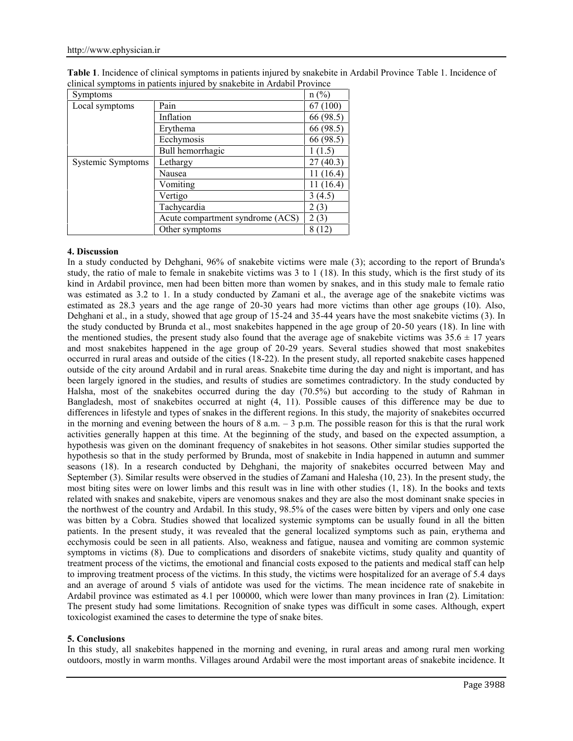| Table 1. Incidence of clinical symptoms in patients injured by snakebite in Ardabil Province Table 1. Incidence of |  |
|--------------------------------------------------------------------------------------------------------------------|--|
| clinical symptoms in patients injured by snakebite in Ardabil Province                                             |  |

| <b>Symptoms</b>   |                                  | $n(^{0}/_{0})$ |
|-------------------|----------------------------------|----------------|
| Local symptoms    | Pain                             | 67 (100)       |
|                   | Inflation                        | 66 (98.5)      |
|                   | Erythema                         | 66 (98.5)      |
|                   | Ecchymosis                       | 66 (98.5)      |
|                   | Bull hemorrhagic                 | 1(1.5)         |
| Systemic Symptoms | Lethargy                         | 27(40.3)       |
|                   | Nausea                           | 11(16.4)       |
|                   | Vomiting                         | 11 (16.4)      |
|                   | Vertigo                          | 3(4.5)         |
|                   | Tachycardia                      | 2(3)           |
|                   | Acute compartment syndrome (ACS) | (3)            |
|                   | Other symptoms                   | Ί2             |

## **4. Discussion**

In a study conducted by Dehghani, 96% of snakebite victims were male (3); according to the report of Brunda's study, the ratio of male to female in snakebite victims was 3 to 1 (18). In this study, which is the first study of its kind in Ardabil province, men had been bitten more than women by snakes, and in this study male to female ratio was estimated as 3.2 to 1. In a study conducted by Zamani et al., the average age of the snakebite victims was estimated as 28.3 years and the age range of 20-30 years had more victims than other age groups (10). Also, Dehghani et al., in a study, showed that age group of 15-24 and 35-44 years have the most snakebite victims (3). In the study conducted by Brunda et al., most snakebites happened in the age group of 20-50 years (18). In line with the mentioned studies, the present study also found that the average age of snakebite victims was  $35.6 \pm 17$  years and most snakebites happened in the age group of 20-29 years. Several studies showed that most snakebites occurred in rural areas and outside of the cities (18-22). In the present study, all reported snakebite cases happened outside of the city around Ardabil and in rural areas. Snakebite time during the day and night is important, and has been largely ignored in the studies, and results of studies are sometimes contradictory. In the study conducted by Halsha, most of the snakebites occurred during the day (70.5%) but according to the study of Rahman in Bangladesh, most of snakebites occurred at night (4, 11). Possible causes of this difference may be due to differences in lifestyle and types of snakes in the different regions. In this study, the majority of snakebites occurred in the morning and evening between the hours of 8 a.m.  $-3$  p.m. The possible reason for this is that the rural work activities generally happen at this time. At the beginning of the study, and based on the expected assumption, a hypothesis was given on the dominant frequency of snakebites in hot seasons. Other similar studies supported the hypothesis so that in the study performed by Brunda, most of snakebite in India happened in autumn and summer seasons (18). In a research conducted by Dehghani, the majority of snakebites occurred between May and September (3). Similar results were observed in the studies of Zamani and Halesha (10, 23). In the present study, the most biting sites were on lower limbs and this result was in line with other studies (1, 18). In the books and texts related with snakes and snakebite, vipers are venomous snakes and they are also the most dominant snake species in the northwest of the country and Ardabil. In this study, 98.5% of the cases were bitten by vipers and only one case was bitten by a Cobra. Studies showed that localized systemic symptoms can be usually found in all the bitten patients. In the present study, it was revealed that the general localized symptoms such as pain, erythema and ecchymosis could be seen in all patients. Also, weakness and fatigue, nausea and vomiting are common systemic symptoms in victims (8). Due to complications and disorders of snakebite victims, study quality and quantity of treatment process of the victims, the emotional and financial costs exposed to the patients and medical staff can help to improving treatment process of the victims. In this study, the victims were hospitalized for an average of 5.4 days and an average of around 5 vials of antidote was used for the victims. The mean incidence rate of snakebite in Ardabil province was estimated as 4.1 per 100000, which were lower than many provinces in Iran (2). Limitation: The present study had some limitations. Recognition of snake types was difficult in some cases. Although, expert toxicologist examined the cases to determine the type of snake bites.

#### **5. Conclusions**

In this study, all snakebites happened in the morning and evening, in rural areas and among rural men working outdoors, mostly in warm months. Villages around Ardabil were the most important areas of snakebite incidence. It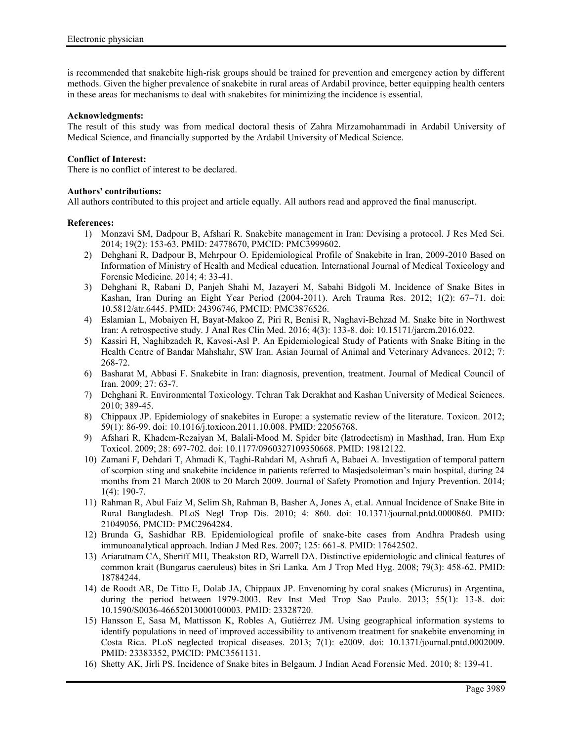is recommended that snakebite high-risk groups should be trained for prevention and emergency action by different methods. Given the higher prevalence of snakebite in rural areas of Ardabil province, better equipping health centers in these areas for mechanisms to deal with snakebites for minimizing the incidence is essential.

## **Acknowledgments:**

The result of this study was from medical doctoral thesis of Zahra Mirzamohammadi in Ardabil University of Medical Science, and financially supported by the Ardabil University of Medical Science.

## **Conflict of Interest:**

There is no conflict of interest to be declared.

## **Authors' contributions:**

All authors contributed to this project and article equally. All authors read and approved the final manuscript.

## **References:**

- 1) Monzavi SM, Dadpour B, Afshari R. Snakebite management in Iran: Devising a protocol. J Res Med Sci. 2014; 19(2): 153-63. PMID: 24778670, PMCID: PMC3999602.
- 2) Dehghani R, Dadpour B, Mehrpour O. Epidemiological Profile of Snakebite in Iran, 2009-2010 Based on Information of Ministry of Health and Medical education. International Journal of Medical Toxicology and Forensic Medicine. 2014; 4: 33-41.
- 3) Dehghani R, Rabani D, Panjeh Shahi M, Jazayeri M, Sabahi Bidgoli M. Incidence of Snake Bites in Kashan, Iran During an Eight Year Period (2004-2011). Arch Trauma Res. 2012; 1(2): 67–71. doi: 10.5812/atr.6445. PMID: 24396746, PMCID: PMC3876526.
- 4) Eslamian L, Mobaiyen H, Bayat-Makoo Z, Piri R, Benisi R, Naghavi-Behzad M. Snake bite in Northwest Iran: A retrospective study. J Anal Res Clin Med. 2016; 4(3): 133-8. doi: 10.15171/jarcm.2016.022.
- 5) Kassiri H, Naghibzadeh R, Kavosi-Asl P. An Epidemiological Study of Patients with Snake Biting in the Health Centre of Bandar Mahshahr, SW Iran. Asian Journal of Animal and Veterinary Advances. 2012; 7: 268-72.
- 6) Basharat M, Abbasi F. Snakebite in Iran: diagnosis, prevention, treatment. Journal of Medical Council of Iran. 2009; 27: 63-7.
- 7) Dehghani R. Environmental Toxicology. Tehran Tak Derakhat and Kashan University of Medical Sciences. 2010; 389-45.
- 8) Chippaux JP. Epidemiology of snakebites in Europe: a systematic review of the literature. Toxicon. 2012; 59(1): 86-99. doi: 10.1016/j.toxicon.2011.10.008. PMID: 22056768.
- 9) Afshari R, Khadem-Rezaiyan M, Balali-Mood M. Spider bite (latrodectism) in Mashhad, Iran. Hum Exp Toxicol. 2009; 28: 697-702. doi: 10.1177/0960327109350668. PMID: 19812122.
- 10) Zamani F, Dehdari T, Ahmadi K, Taghi-Rahdari M, Ashrafi A, Babaei A. Investigation of temporal pattern of scorpion sting and snakebite incidence in patients referred to Masjedsoleiman's main hospital, during 24 months from 21 March 2008 to 20 March 2009. Journal of Safety Promotion and Injury Prevention. 2014; 1(4): 190-7.
- 11) Rahman R, Abul Faiz M, Selim Sh, Rahman B, Basher A, Jones A, et.al. Annual Incidence of Snake Bite in Rural Bangladesh. PLoS Negl Trop Dis. 2010; 4: 860. doi: 10.1371/journal.pntd.0000860. PMID: 21049056, PMCID: PMC2964284.
- 12) Brunda G, Sashidhar RB. Epidemiological profile of snake-bite cases from Andhra Pradesh using immunoanalytical approach. Indian J Med Res. 2007; 125: 661-8. PMID: 17642502.
- 13) Ariaratnam CA, Sheriff MH, Theakston RD, Warrell DA. Distinctive epidemiologic and clinical features of common krait (Bungarus caeruleus) bites in Sri Lanka. Am J Trop Med Hyg. 2008; 79(3): 458-62. PMID: 18784244.
- 14) de Roodt AR, De Titto E, Dolab JA, Chippaux JP. Envenoming by coral snakes (Micrurus) in Argentina, during the period between 1979-2003. Rev Inst Med Trop Sao Paulo. 2013; 55(1): 13-8. doi: 10.1590/S0036-46652013000100003. PMID: 23328720.
- 15) Hansson E, Sasa M, Mattisson K, Robles A, Gutiérrez JM. Using geographical information systems to identify populations in need of improved accessibility to antivenom treatment for snakebite envenoming in Costa Rica. PLoS neglected tropical diseases. 2013; 7(1): e2009. doi: 10.1371/journal.pntd.0002009. PMID: 23383352, PMCID: PMC3561131.
- 16) Shetty AK, Jirli PS. Incidence of Snake bites in Belgaum. J Indian Acad Forensic Med. 2010; 8: 139-41.